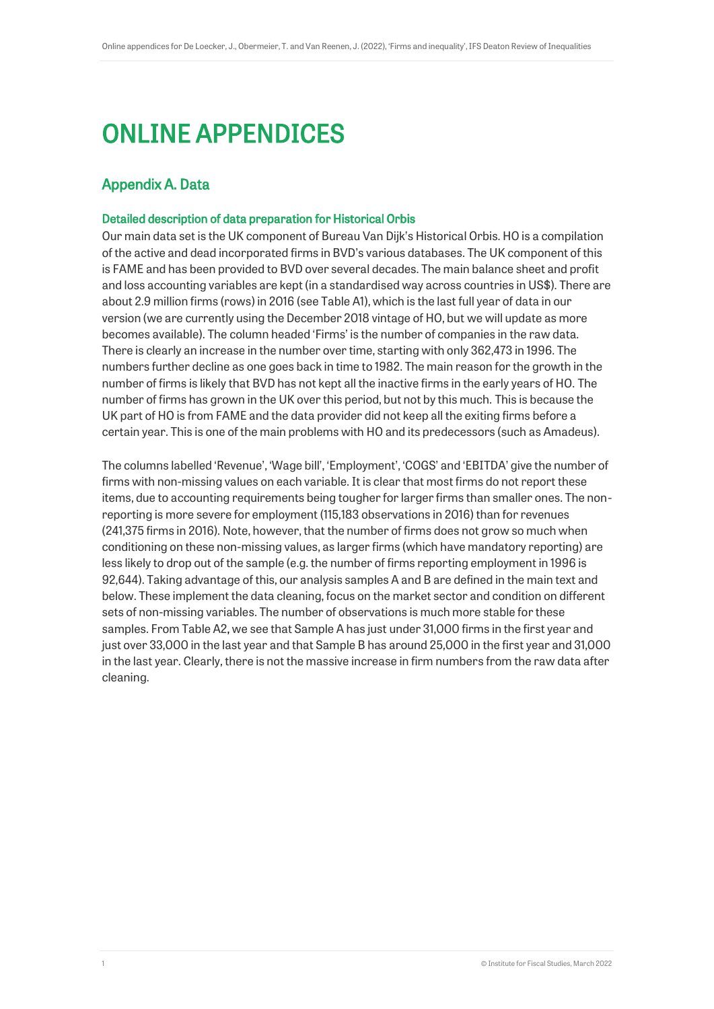# ONLINE APPENDICES

# <span id="page-0-0"></span>Appendix A. Data

#### Detailed description of data preparation for Historical Orbis

Our main data set is the UK component of Bureau Van Dijk's Historical Orbis. HO is a compilation of the active and dead incorporated firms in BVD's various databases. The UK component of this is FAME and has been provided to BVD over several decades. The main balance sheet and profit and loss accounting variables are kept (in a standardised way across countries in US\$). There are about 2.9 million firms (rows) in 2016 (see Table A1), which is the last full year of data in our version (we are currently using the December 2018 vintage of HO, but we will update as more becomes available). The column headed 'Firms' is the number of companies in the raw data. There is clearly an increase in the number over time, starting with only 362,473 in 1996. The numbers further decline as one goes back in time to 1982. The main reason for the growth in the number of firms is likely that BVD has not kept all the inactive firms in the early years of HO. The number of firms has grown in the UK over this period, but not by this much. This is because the UK part of HO is from FAME and the data provider did not keep all the exiting firms before a certain year. This is one of the main problems with HO and its predecessors (such as Amadeus).

The columns labelled 'Revenue', 'Wage bill', 'Employment', 'COGS' and 'EBITDA' give the number of firms with non-missing values on each variable. It is clear that most firms do not report these items, due to accounting requirements being tougher for larger firms than smaller ones. The nonreporting is more severe for employment (115,183 observations in 2016) than for revenues (241,375 firms in 2016). Note, however, that the number of firms does not grow so much when conditioning on these non-missing values, as larger firms (which have mandatory reporting) are less likely to drop out of the sample (e.g. the number of firms reporting employment in 1996 is 92,644). Taking advantage of this, our analysis samples A and B are defined in the main text and below. These implement the data cleaning, focus on the market sector and condition on different sets of non-missing variables. The number of observations is much more stable for these samples. From Table A2, we see that Sample A has just under 31,000 firms in the first year and just over 33,000 in the last year and that Sample B has around 25,000 in the first year and 31,000 in the last year. Clearly, there is not the massive increase in firm numbers from the raw data after cleaning.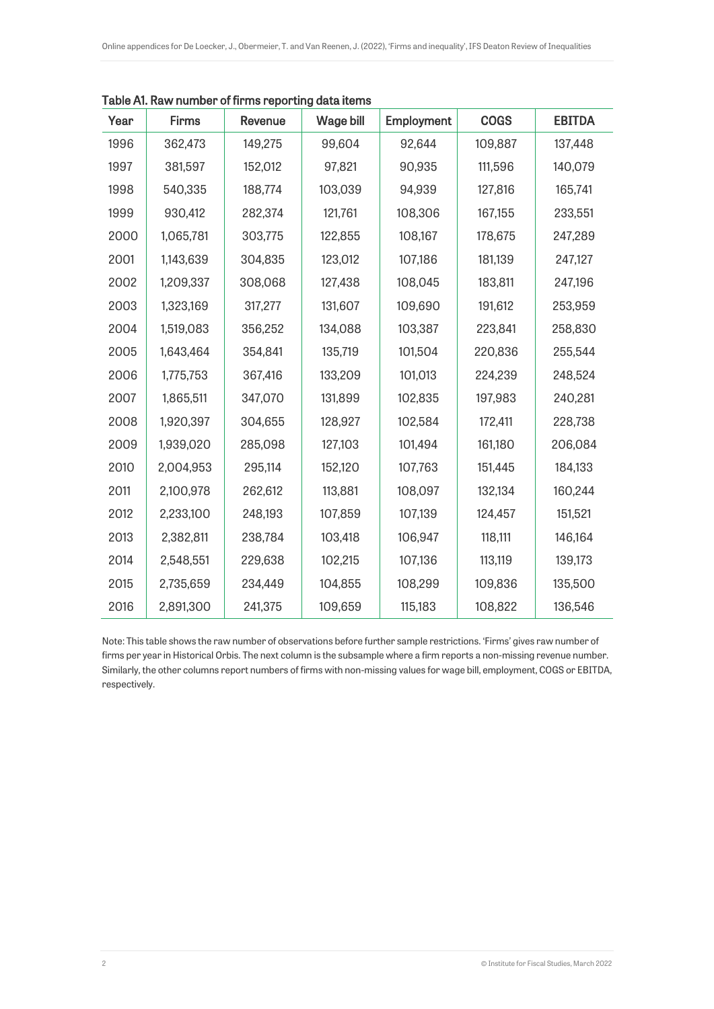| Year | <b>Firms</b> | Revenue | <b>Wage bill</b> | Employment | <b>COGS</b> | <b>EBITDA</b> |  |
|------|--------------|---------|------------------|------------|-------------|---------------|--|
| 1996 | 362,473      | 149,275 | 99,604           | 92,644     | 109,887     | 137,448       |  |
| 1997 | 381,597      | 152,012 | 97,821           | 90,935     | 111,596     | 140,079       |  |
| 1998 | 540,335      | 188,774 | 103,039          | 94,939     | 127,816     | 165,741       |  |
| 1999 | 930,412      | 282,374 | 121,761          | 108,306    | 167,155     | 233,551       |  |
| 2000 | 1,065,781    | 303,775 | 122,855          | 108,167    | 178,675     | 247,289       |  |
| 2001 | 1,143,639    | 304,835 | 123,012          | 107,186    | 181,139     | 247,127       |  |
| 2002 | 1,209,337    | 308,068 | 127,438          | 108,045    | 183,811     | 247,196       |  |
| 2003 | 1,323,169    | 317,277 | 131,607          | 109,690    | 191,612     | 253,959       |  |
| 2004 | 1,519,083    | 356,252 | 134,088          | 103,387    | 223,841     | 258,830       |  |
| 2005 | 1,643,464    | 354,841 | 135,719          | 101,504    | 220,836     | 255,544       |  |
| 2006 | 1,775,753    | 367,416 | 133,209          | 101,013    | 224,239     | 248,524       |  |
| 2007 | 1,865,511    | 347,070 | 131,899          | 102,835    | 197,983     | 240,281       |  |
| 2008 | 1,920,397    | 304,655 | 128,927          | 102,584    | 172,411     | 228,738       |  |
| 2009 | 1,939,020    | 285,098 | 127,103          | 101,494    | 161,180     | 206,084       |  |
| 2010 | 2,004,953    | 295,114 | 152,120          | 107,763    | 151,445     | 184,133       |  |
| 2011 | 2,100,978    | 262,612 | 113,881          | 108,097    | 132,134     | 160,244       |  |
| 2012 | 2,233,100    | 248,193 | 107,859          | 107,139    | 124,457     | 151,521       |  |
| 2013 | 2,382,811    | 238,784 | 103,418          | 106,947    | 118,111     | 146,164       |  |
| 2014 | 2,548,551    | 229,638 | 102,215          | 107,136    | 113,119     | 139,173       |  |
| 2015 | 2,735,659    | 234,449 | 104,855          | 108,299    | 109,836     | 135,500       |  |
| 2016 | 2,891,300    | 241,375 | 109,659          | 115,183    | 108,822     | 136,546       |  |

Table A1. Raw number of firms reporting data items

Note: This table shows the raw number of observations before further sample restrictions. 'Firms' gives raw number of firms per year in Historical Orbis. The next column is the subsample where a firm reports a non-missing revenue number. Similarly, the other columns report numbers of firms with non-missing values for wage bill, employment, COGS or EBITDA, respectively.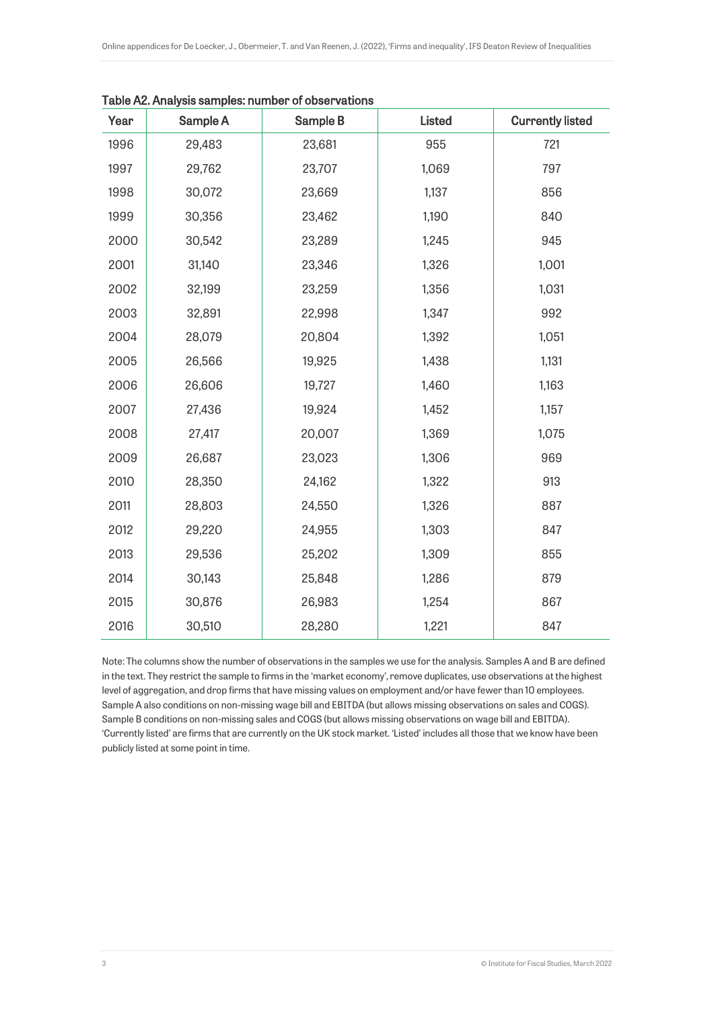| Year | Sample A | Sample B | <b>Listed</b> | <b>Currently listed</b> |
|------|----------|----------|---------------|-------------------------|
| 1996 | 29,483   | 23,681   | 955           | 721                     |
| 1997 | 29,762   | 23,707   | 1,069         | 797                     |
| 1998 | 30,072   | 23,669   | 1,137         | 856                     |
| 1999 | 30,356   | 23,462   | 1,190         | 840                     |
| 2000 | 30,542   | 23,289   | 1,245         | 945                     |
| 2001 | 31,140   | 23,346   | 1,326         | 1,001                   |
| 2002 | 32,199   | 23,259   | 1,356         | 1,031                   |
| 2003 | 32,891   | 22,998   | 1,347         | 992                     |
| 2004 | 28,079   | 20,804   | 1,392         | 1,051                   |
| 2005 | 26,566   | 19,925   | 1,438         | 1,131                   |
| 2006 | 26,606   | 19,727   | 1,460         | 1,163                   |
| 2007 | 27,436   | 19,924   | 1,452         | 1,157                   |
| 2008 | 27,417   | 20,007   | 1,369         | 1,075                   |
| 2009 | 26,687   | 23,023   | 1,306         | 969                     |
| 2010 | 28,350   | 24,162   | 1,322         | 913                     |
| 2011 | 28,803   | 24,550   | 1,326         | 887                     |
| 2012 | 29,220   | 24,955   | 1,303         | 847                     |
| 2013 | 29,536   | 25,202   | 1,309         | 855                     |
| 2014 | 30,143   | 25,848   | 1,286         | 879                     |
| 2015 | 30,876   | 26,983   | 1,254         | 867                     |
| 2016 | 30,510   | 28,280   | 1,221         | 847                     |

Table A2. Analysis samples: number of observations

Note: The columns show the number of observations in the samples we use for the analysis. Samples A and B are defined in the text. They restrict the sample to firms in the 'market economy', remove duplicates, use observations at the highest level of aggregation, and drop firms that have missing values on employment and/or have fewer than 10 employees. Sample A also conditions on non-missing wage bill and EBITDA (but allows missing observations on sales and COGS). Sample B conditions on non-missing sales and COGS (but allows missing observations on wage bill and EBITDA). 'Currently listed' are firms that are currently on the UK stock market. 'Listed' includes all those that we know have been publicly listed at some point in time.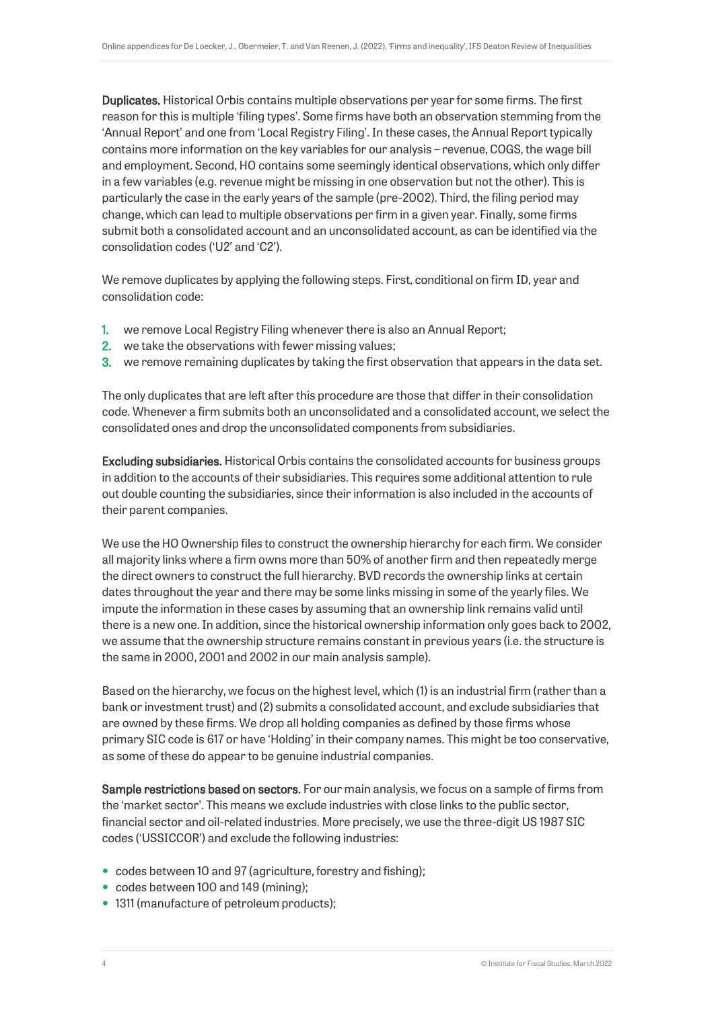Duplicates. Historical Orbis contains multiple observations per year for some firms. The first reason for this is multiple 'filing types'. Some firms have both an observation stemming from the 'Annual Report' and one from 'Local Registry Filing'. In these cases, the Annual Report typically contains more information on the key variables for our analysis – revenue, COGS, the wage bill and employment. Second, HO contains some seemingly identical observations, which only differ in a few variables (e.g. revenue might be missing in one observation but not the other). This is particularly the case in the early years of the sample (pre-2002). Third, the filing period may change, which can lead to multiple observations per firm in a given year. Finally, some firms submit both a consolidated account and an unconsolidated account, as can be identified via the consolidation codes ('U2' and 'C2').

We remove duplicates by applying the following steps. First, conditional on firm ID, year and consolidation code:

- 1. we remove Local Registry Filing whenever there is also an Annual Report;
- 2. we take the observations with fewer missing values;
- 3. we remove remaining duplicates by taking the first observation that appears in the data set.

The only duplicates that are left after this procedure are those that differ in their consolidation code. Whenever a firm submits both an unconsolidated and a consolidated account, we select the consolidated ones and drop the unconsolidated components from subsidiaries.

Excluding subsidiaries. Historical Orbis contains the consolidated accounts for business groups in addition to the accounts of their subsidiaries. This requires some additional attention to rule out double counting the subsidiaries, since their information is also included in the accounts of their parent companies.

We use the HO Ownership files to construct the ownership hierarchy for each firm. We consider all majority links where a firm owns more than 50% of another firm and then repeatedly merge the direct owners to construct the full hierarchy. BVD records the ownership links at certain dates throughout the year and there may be some links missing in some of the yearly files. We impute the information in these cases by assuming that an ownership link remains valid until there is a new one. In addition, since the historical ownership information only goes back to 2002, we assume that the ownership structure remains constant in previous years (i.e. the structure is the same in 2000, 2001 and 2002 in our main analysis sample).

Based on the hierarchy, we focus on the highest level, which (1) is an industrial firm (rather than a bank or investment trust) and (2) submits a consolidated account, and exclude subsidiaries that are owned by these firms. We drop all holding companies as defined by those firms whose primary SIC code is 617 or have 'Holding' in their company names. This might be too conservative, as some of these do appear to be genuine industrial companies.

Sample restrictions based on sectors. For our main analysis, we focus on a sample of firms from the 'market sector'. This means we exclude industries with close links to the public sector, financial sector and oil-related industries. More precisely, we use the three-digit US 1987 SIC codes ('USSICCOR') and exclude the following industries:

- codes between 10 and 97 (agriculture, forestry and fishing);
- codes between 100 and 149 (mining);
- 1311 (manufacture of petroleum products);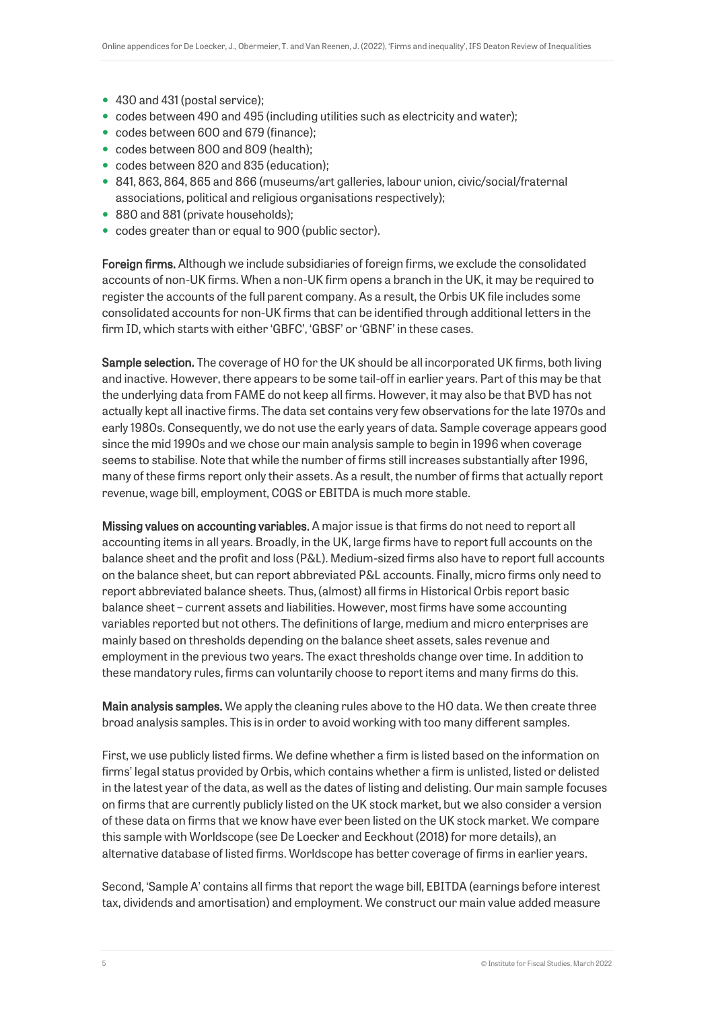- 430 and 431 (postal service);
- codes between 490 and 495 (including utilities such as electricity and water);
- codes between 600 and 679 (finance);
- codes between 800 and 809 (health);
- codes between 820 and 835 (education);
- 841, 863, 864, 865 and 866 (museums/art galleries, labour union, civic/social/fraternal associations, political and religious organisations respectively);
- 880 and 881 (private households);
- codes greater than or equal to 900 (public sector).

Foreign firms. Although we include subsidiaries of foreign firms, we exclude the consolidated accounts of non-UK firms. When a non-UK firm opens a branch in the UK, it may be required to register the accounts of the full parent company. As a result, the Orbis UK file includes some consolidated accounts for non-UK firms that can be identified through additional letters in the firm ID, which starts with either 'GBFC', 'GBSF' or 'GBNF' in these cases.

Sample selection. The coverage of HO for the UK should be all incorporated UK firms, both living and inactive. However, there appears to be some tail-off in earlier years. Part of this may be that the underlying data from FAME do not keep all firms. However, it may also be that BVD has not actually kept all inactive firms. The data set contains very few observations for the late 1970s and early 1980s. Consequently, we do not use the early years of data. Sample coverage appears good since the mid 1990s and we chose our main analysis sample to begin in 1996 when coverage seems to stabilise. Note that while the number of firms still increases substantially after 1996, many of these firms report only their assets. As a result, the number of firms that actually report revenue, wage bill, employment, COGS or EBITDA is much more stable.

Missing values on accounting variables. A major issue is that firms do not need to report all accounting items in all years. Broadly, in the UK, large firms have to report full accounts on the balance sheet and the profit and loss (P&L). Medium-sized firms also have to report full accounts on the balance sheet, but can report abbreviated P&L accounts. Finally, micro firms only need to report abbreviated balance sheets. Thus, (almost) all firms in Historical Orbis report basic balance sheet – current assets and liabilities. However, most firms have some accounting variables reported but not others. The definitions of large, medium and micro enterprises are mainly based on thresholds depending on the balance sheet assets, sales revenue and employment in the previous two years. The exact thresholds change over time. In addition to these mandatory rules, firms can voluntarily choose to report items and many firms do this.

Main analysis samples. We apply the cleaning rules above to the HO data. We then create three broad analysis samples. This is in order to avoid working with too many different samples.

First, we use publicly listed firms. We define whether a firm is listed based on the information on firms' legal status provided by Orbis, which contains whether a firm is unlisted, listed or delisted in the latest year of the data, as well as the dates of listing and delisting. Our main sample focuses on firms that are currently publicly listed on the UK stock market, but we also consider a version of these data on firms that we know have ever been listed on the UK stock market. We compare this sample with Worldscope (see De Loecker and Eeckhout (2018) for more details), an alternative database of listed firms. Worldscope has better coverage of firms in earlier years.

Second, 'Sample A' contains all firms that report the wage bill, EBITDA (earnings before interest tax, dividends and amortisation) and employment. We construct our main value added measure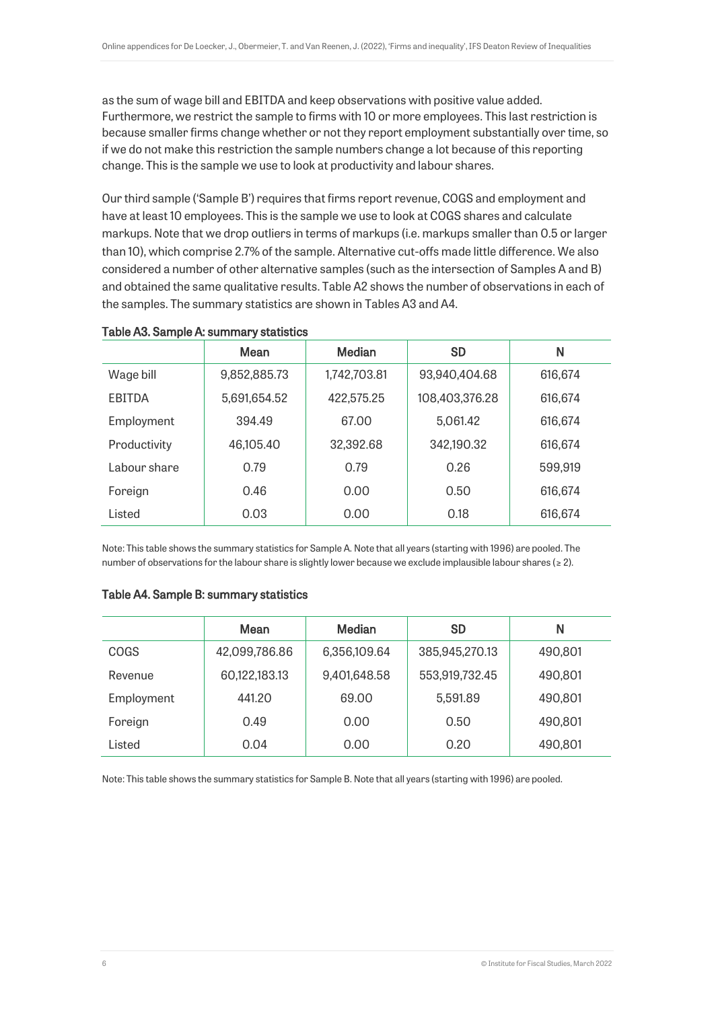as the sum of wage bill and EBITDA and keep observations with positive value added. Furthermore, we restrict the sample to firms with 10 or more employees. This last restriction is because smaller firms change whether or not they report employment substantially over time, so if we do not make this restriction the sample numbers change a lot because of this reporting change. This is the sample we use to look at productivity and labour shares.

Our third sample ('Sample B') requires that firms report revenue, COGS and employment and have at least 10 employees. This is the sample we use to look at COGS shares and calculate markups. Note that we drop outliers in terms of markups (i.e. markups smaller than 0.5 or larger than 10), which comprise 2.7% of the sample. Alternative cut-offs made little difference. We also considered a number of other alternative samples (such as the intersection of Samples A and B) and obtained the same qualitative results. Table A2 shows the number of observations in each of the samples. The summary statistics are shown in Tables A3 and A4.

|               | Mean         | <b>Median</b> | <b>SD</b>      | N       |
|---------------|--------------|---------------|----------------|---------|
| Wage bill     | 9,852,885.73 | 1,742,703.81  | 93,940,404.68  | 616,674 |
| <b>EBITDA</b> | 5,691,654.52 | 422,575.25    | 108,403,376.28 | 616,674 |
| Employment    | 394.49       | 67.00         | 5,061.42       | 616,674 |
| Productivity  | 46,105.40    | 32,392.68     | 342,190.32     | 616,674 |
| Labour share  | 0.79         | 0.79          | 0.26           | 599,919 |
| Foreign       | 0.46         | 0.00          | 0.50           | 616,674 |
| Listed        | 0.03         | 0.00          | 0.18           | 616,674 |

#### Table A3. Sample A: summary statistics

Note: This table shows the summary statistics for Sample A. Note that all years (starting with 1996) are pooled. The number of observations for the labour share is slightly lower because we exclude implausible labour shares ( $\geq 2$ ).

#### Table A4. Sample B: summary statistics

|             | Mean          | Median       | <b>SD</b>      | N       |
|-------------|---------------|--------------|----------------|---------|
| <b>COGS</b> | 42,099,786.86 | 6,356,109.64 | 385,945,270.13 | 490,801 |
| Revenue     | 60,122,183.13 | 9,401,648.58 | 553,919,732.45 | 490,801 |
| Employment  | 441.20        | 69.00        | 5,591.89       | 490,801 |
| Foreign     | 0.49          | 0.00         | 0.50           | 490.801 |
| Listed      | 0.04          | 0.00         | 0.20           | 490,801 |

Note: This table shows the summary statistics for Sample B. Note that all years (starting with 1996) are pooled.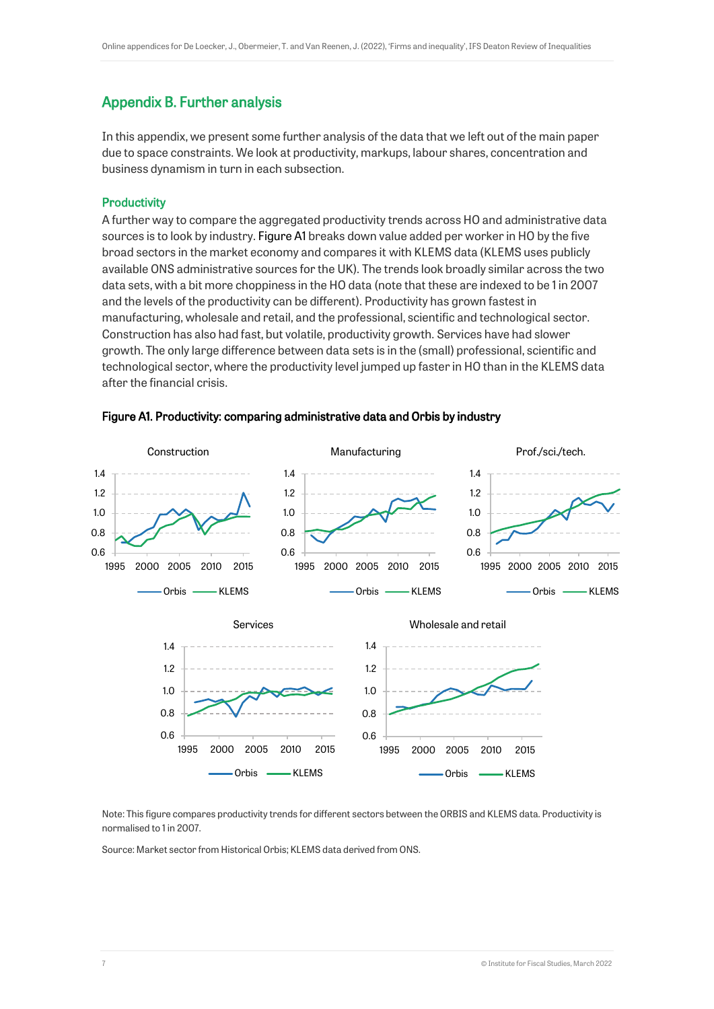# Appendix B. Further analysis

In this appendix, we present some further analysis of the data that we left out of the main paper due to space constraints. We look at productivity, markups, labour shares, concentration and business dynamism in turn in each subsection.

#### **Productivity**

A further way to compare the aggregated productivity trends across HO and administrative data sources is to look by industry[. Figure A1](#page-6-0) breaks down value added per worker in HO by the five broad sectors in the market economy and compares it with KLEMS data (KLEMS uses publicly available ONS administrative sources for the UK). The trends look broadly similar across the two data sets, with a bit more choppiness in the HO data (note that these are indexed to be 1 in 2007 and the levels of the productivity can be different). Productivity has grown fastest in manufacturing, wholesale and retail, and the professional, scientific and technological sector. Construction has also had fast, but volatile, productivity growth. Services have had slower growth. The only large difference between data sets is in the (small) professional, scientific and technological sector, where the productivity level jumped up faster in HO than in the KLEMS data after the financial crisis.



#### <span id="page-6-0"></span>Figure A1. Productivity: comparing administrative data and Orbis by industry

Note: This figure compares productivity trends for different sectors between the ORBIS and KLEMS data. Productivity is normalised to 1 in 2007.

Source: Market sector from Historical Orbis; KLEMS data derived from ONS.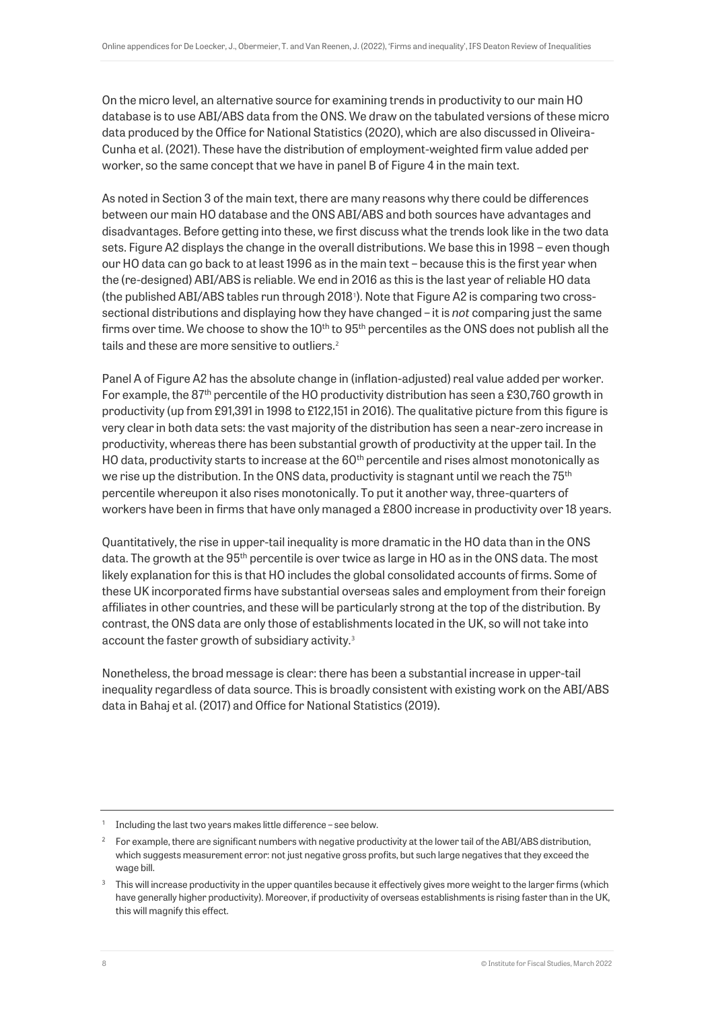On the micro level, an alternative source for examining trends in productivity to our main HO database is to use ABI/ABS data from the ONS. We draw on the tabulated versions of these micro data produced by the Office for National Statistics (2020), which are also discussed in Oliveira-Cunha et al. (2021). These have the distribution of employment-weighted firm value added per worker, so the same concept that we have in panel B of Figure 4 in the main text.

As noted in Section 3 of the main text, there are many reasons why there could be differences between our main HO database and the ONS ABI/ABS and both sources have advantages and disadvantages. Before getting into these, we first discuss what the trends look like in the two data sets. Figure A2 displays the change in the overall distributions. We base this in 1998 – even though our HO data can go back to at least 1996 as in the main text – because this is the first year when the (re-designed) ABI/ABS is reliable. We end in 2016 as this is the last year of reliable HO data (the published ABI/ABS tables run through 2018<sup>1</sup> ). Note that Figure A2 is comparing two crosssectional distributions and displaying how they have changed – it is *not* comparing just the same firms over time. We choose to show the  $10^{th}$  to  $95^{th}$  percentiles as the ONS does not publish all the tails and these are more sensitive to outliers.<sup>2</sup>

Panel A of Figure A2 has the absolute change in (inflation-adjusted) real value added per worker. For example, the  $87<sup>th</sup>$  percentile of the HO productivity distribution has seen a £30,760 growth in productivity (up from £91,391 in 1998 to £122,151 in 2016). The qualitative picture from this figure is very clear in both data sets: the vast majority of the distribution has seen a near-zero increase in productivity, whereas there has been substantial growth of productivity at the upper tail. In the HO data, productivity starts to increase at the  $60<sup>th</sup>$  percentile and rises almost monotonically as we rise up the distribution. In the ONS data, productivity is stagnant until we reach the  $75<sup>th</sup>$ percentile whereupon it also rises monotonically. To put it another way, three-quarters of workers have been in firms that have only managed a £800 increase in productivity over 18 years.

Quantitatively, the rise in upper-tail inequality is more dramatic in the HO data than in the ONS data. The growth at the 95<sup>th</sup> percentile is over twice as large in HO as in the ONS data. The most likely explanation for this is that HO includes the global consolidated accounts of firms. Some of these UK incorporated firms have substantial overseas sales and employment from their foreign affiliates in other countries, and these will be particularly strong at the top of the distribution. By contrast, the ONS data are only those of establishments located in the UK, so will not take into account the faster growth of subsidiary activity.<sup>3</sup>

Nonetheless, the broad message is clear: there has been a substantial increase in upper-tail inequality regardless of data source. This is broadly consistent with existing work on the ABI/ABS data in Bahaj et al. (2017) and Office for National Statistics (2019).

 $1$  Including the last two years makes little difference – see below.

<sup>2</sup> For example, there are significant numbers with negative productivity at the lower tail of the ABI/ABS distribution, which suggests measurement error: not just negative gross profits, but such large negatives that they exceed the wage bill.

<sup>&</sup>lt;sup>3</sup> This will increase productivity in the upper quantiles because it effectively gives more weight to the larger firms (which have generally higher productivity). Moreover, if productivity of overseas establishments is rising faster than in the UK, this will magnify this effect.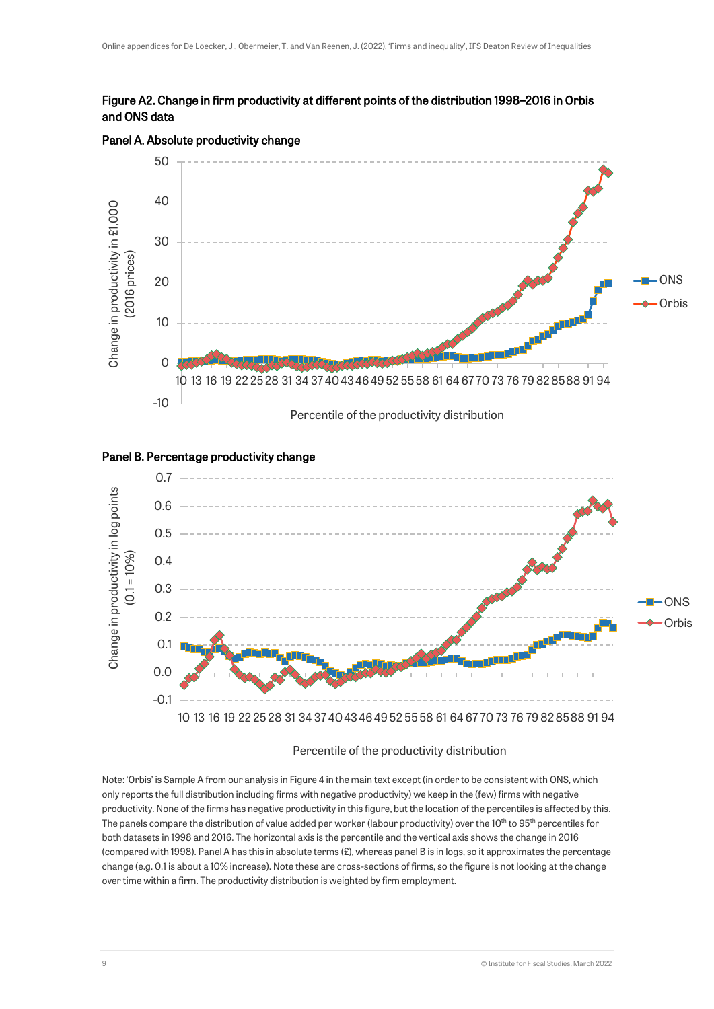#### Figure A2. Change in firm productivity at different points of the distribution 1998–2016 in Orbis and ONS data



#### Panel A. Absolute productivity change

#### Panel B. Percentage productivity change



#### Percentile of the productivity distribution

Note: 'Orbis' is Sample A from our analysis in Figure 4 in the main text except (in order to be consistent with ONS, which only reports the full distribution including firms with negative productivity) we keep in the (few) firms with negative productivity. None of the firms has negative productivity in this figure, but the location of the percentiles is affected by this. The panels compare the distribution of value added per worker (labour productivity) over the 10<sup>th</sup> to 95<sup>th</sup> percentiles for both datasets in 1998 and 2016. The horizontal axis is the percentile and the vertical axis shows the change in 2016 (compared with 1998). Panel A has this in absolute terms  $(E)$ , whereas panel B is in logs, so it approximates the percentage change (e.g. 0.1 is about a 10% increase). Note these are cross-sections of firms, so the figure is not looking at the change over time within a firm. The productivity distribution is weighted by firm employment.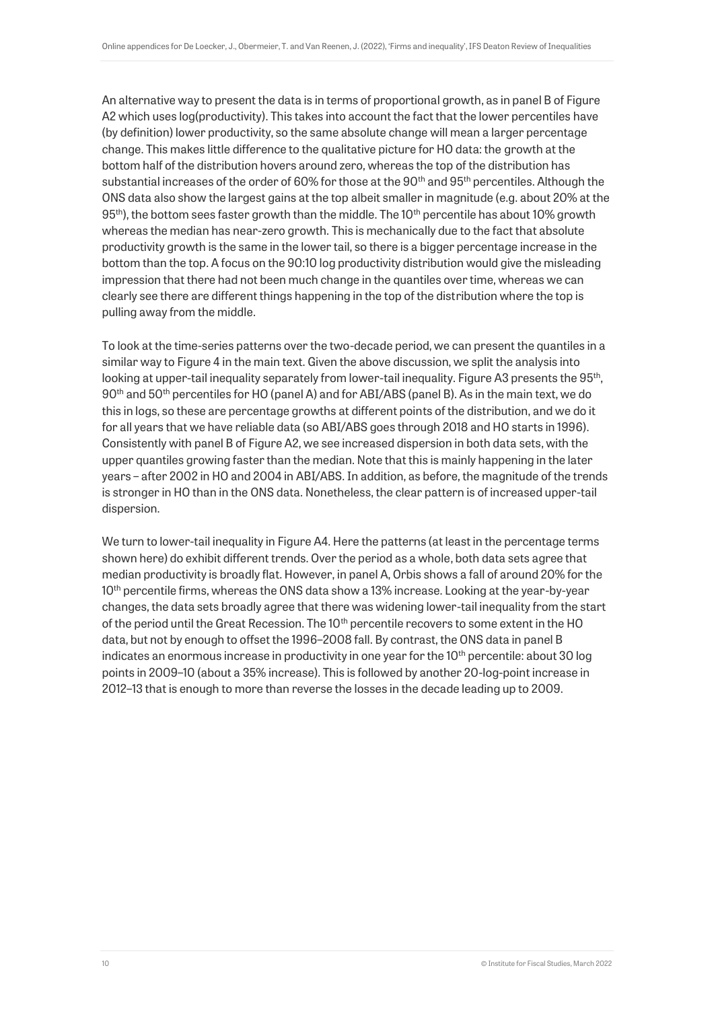An alternative way to present the data is in terms of proportional growth, as in panel B of Figure A2 which uses log(productivity). This takes into account the fact that the lower percentiles have (by definition) lower productivity, so the same absolute change will mean a larger percentage change. This makes little difference to the qualitative picture for HO data: the growth at the bottom half of the distribution hovers around zero, whereas the top of the distribution has substantial increases of the order of 60% for those at the  $90<sup>th</sup>$  and  $95<sup>th</sup>$  percentiles. Although the ONS data also show the largest gains at the top albeit smaller in magnitude (e.g. about 20% at the  $95<sup>th</sup>$ ), the bottom sees faster growth than the middle. The 10<sup>th</sup> percentile has about 10% growth whereas the median has near-zero growth. This is mechanically due to the fact that absolute productivity growth is the same in the lower tail, so there is a bigger percentage increase in the bottom than the top. A focus on the 90:10 log productivity distribution would give the misleading impression that there had not been much change in the quantiles over time, whereas we can clearly see there are different things happening in the top of the distribution where the top is pulling away from the middle.

To look at the time-series patterns over the two-decade period, we can present the quantiles in a similar way to Figure 4 in the main text. Given the above discussion, we split the analysis into looking at upper-tail inequality separately from lower-tail inequality. Figure A3 presents the 95<sup>th</sup>, 90th and 50th percentiles for HO (panel A) and for ABI/ABS (panel B). As in the main text, we do this in logs, so these are percentage growths at different points of the distribution, and we do it for all years that we have reliable data (so ABI/ABS goes through 2018 and HO starts in 1996). Consistently with panel B of Figure A2, we see increased dispersion in both data sets, with the upper quantiles growing faster than the median. Note that this is mainly happening in the later years – after 2002 in HO and 2004 in ABI/ABS. In addition, as before, the magnitude of the trends is stronger in HO than in the ONS data. Nonetheless, the clear pattern is of increased upper-tail dispersion.

We turn to lower-tail inequality in Figure A4. Here the patterns (at least in the percentage terms shown here) do exhibit different trends. Over the period as a whole, both data sets agree that median productivity is broadly flat. However, in panel A, Orbis shows a fall of around 20% for the 10<sup>th</sup> percentile firms, whereas the ONS data show a 13% increase. Looking at the year-by-year changes, the data sets broadly agree that there was widening lower-tail inequality from the start of the period until the Great Recession. The 10<sup>th</sup> percentile recovers to some extent in the HO data, but not by enough to offset the 1996–2008 fall. By contrast, the ONS data in panel B indicates an enormous increase in productivity in one year for the  $10<sup>th</sup>$  percentile: about 30 log points in 2009–10 (about a 35% increase). This is followed by another 20-log-point increase in 2012–13 that is enough to more than reverse the losses in the decade leading up to 2009.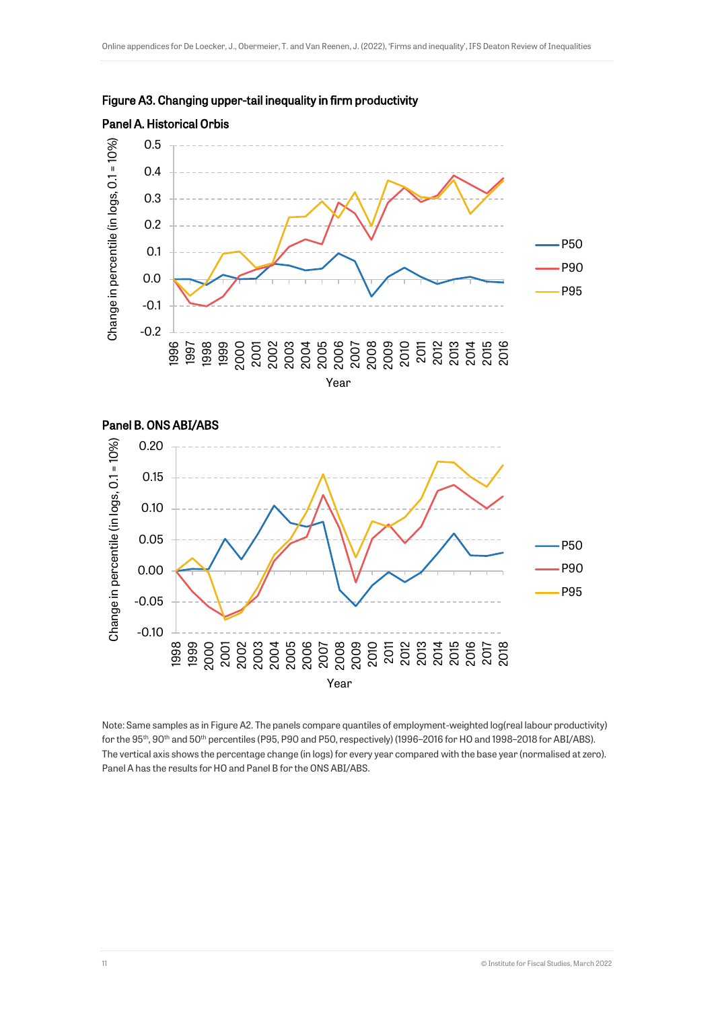





Note: Same samples as in Figure A2. The panels compare quantiles of employment-weighted log(real labour productivity) for the 95<sup>th</sup>, 90<sup>th</sup> and 50<sup>th</sup> percentiles (P95, P90 and P50, respectively) (1996–2016 for HO and 1998–2018 for ABI/ABS). The vertical axis shows the percentage change (in logs) for every year compared with the base year (normalised at zero). Panel A has the results for HO and Panel B for the ONS ABI/ABS.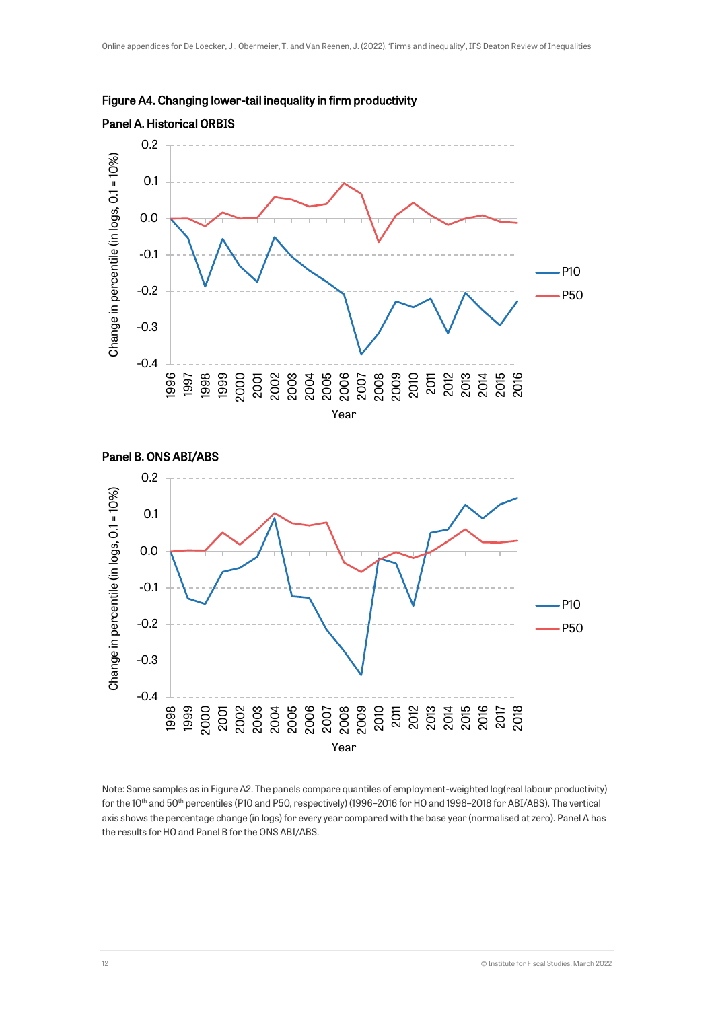





Note: Same samples as in Figure A2. The panels compare quantiles of employment-weighted log(real labour productivity) for the 10<sup>th</sup> and 50<sup>th</sup> percentiles (P10 and P50, respectively) (1996–2016 for HO and 1998–2018 for ABI/ABS). The vertical axis shows the percentage change (in logs) for every year compared with the base year (normalised at zero). Panel A has the results for HO and Panel B for the ONS ABI/ABS.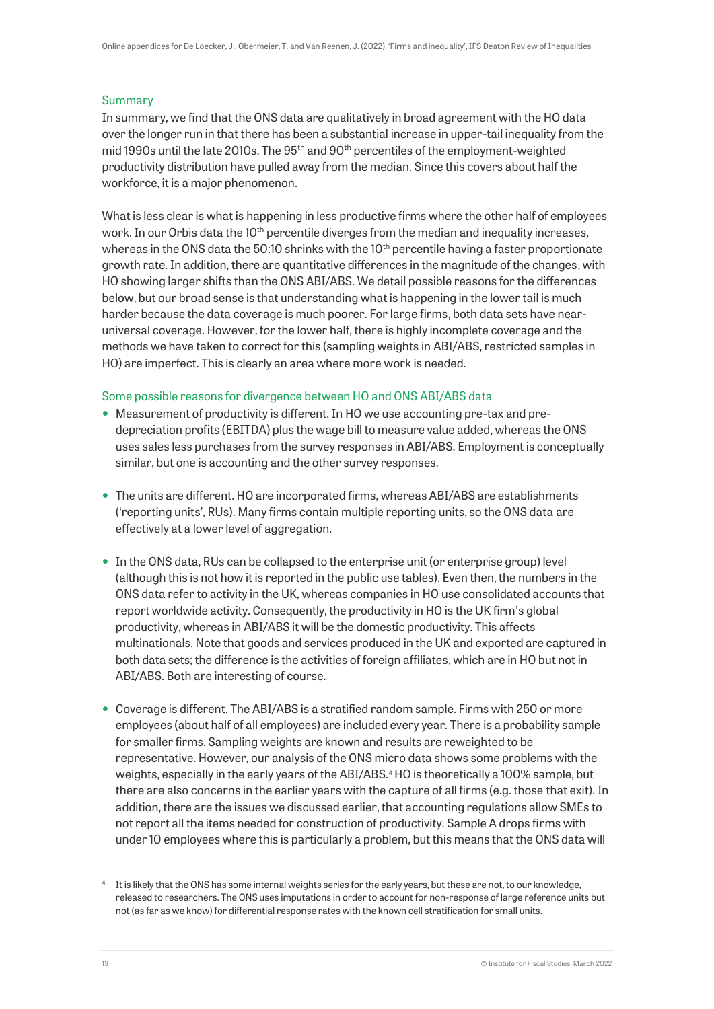#### Summary

In summary, we find that the ONS data are qualitatively in broad agreement with the HO data over the longer run in that there has been a substantial increase in upper-tail inequality from the mid 1990s until the late 2010s. The 95<sup>th</sup> and 90<sup>th</sup> percentiles of the employment-weighted productivity distribution have pulled away from the median. Since this covers about half the workforce, it is a major phenomenon.

What is less clear is what is happening in less productive firms where the other half of employees work. In our Orbis data the 10<sup>th</sup> percentile diverges from the median and inequality increases, whereas in the ONS data the 50:10 shrinks with the  $10<sup>th</sup>$  percentile having a faster proportionate growth rate. In addition, there are quantitative differences in the magnitude of the changes, with HO showing larger shifts than the ONS ABI/ABS. We detail possible reasons for the differences below, but our broad sense is that understanding what is happening in the lower tail is much harder because the data coverage is much poorer. For large firms, both data sets have nearuniversal coverage. However, for the lower half, there is highly incomplete coverage and the methods we have taken to correct for this (sampling weights in ABI/ABS, restricted samples in HO) are imperfect. This is clearly an area where more work is needed.

#### Some possible reasons for divergence between HO and ONS ABI/ABS data

- Measurement of productivity is different. In HO we use accounting pre-tax and predepreciation profits (EBITDA) plus the wage bill to measure value added, whereas the ONS uses sales less purchases from the survey responses in ABI/ABS. Employment is conceptually similar, but one is accounting and the other survey responses.
- The units are different. HO are incorporated firms, whereas ABI/ABS are establishments ('reporting units', RUs). Many firms contain multiple reporting units, so the ONS data are effectively at a lower level of aggregation.
- In the ONS data, RUs can be collapsed to the enterprise unit (or enterprise group) level (although this is not how it is reported in the public use tables). Even then, the numbers in the ONS data refer to activity in the UK, whereas companies in HO use consolidated accounts that report worldwide activity. Consequently, the productivity in HO is the UK firm's global productivity, whereas in ABI/ABS it will be the domestic productivity. This affects multinationals. Note that goods and services produced in the UK and exported are captured in both data sets; the difference is the activities of foreign affiliates, which are in HO but not in ABI/ABS. Both are interesting of course.
- Coverage is different. The ABI/ABS is a stratified random sample. Firms with 250 or more employees (about half of all employees) are included every year. There is a probability sample for smaller firms. Sampling weights are known and results are reweighted to be representative. However, our analysis of the ONS micro data shows some problems with the weights, especially in the early years of the ABI/ABS.<sup>4</sup> HO is theoretically a 100% sample, but there are also concerns in the earlier years with the capture of all firms (e.g. those that exit). In addition, there are the issues we discussed earlier, that accounting regulations allow SMEs to not report all the items needed for construction of productivity. Sample A drops firms with under 10 employees where this is particularly a problem, but this means that the ONS data will

<sup>4</sup> It is likely that the ONS has some internal weights series for the early years, but these are not, to our knowledge, released to researchers. The ONS uses imputations in order to account for non-response of large reference units but not (as far as we know) for differential response rates with the known cell stratification for small units.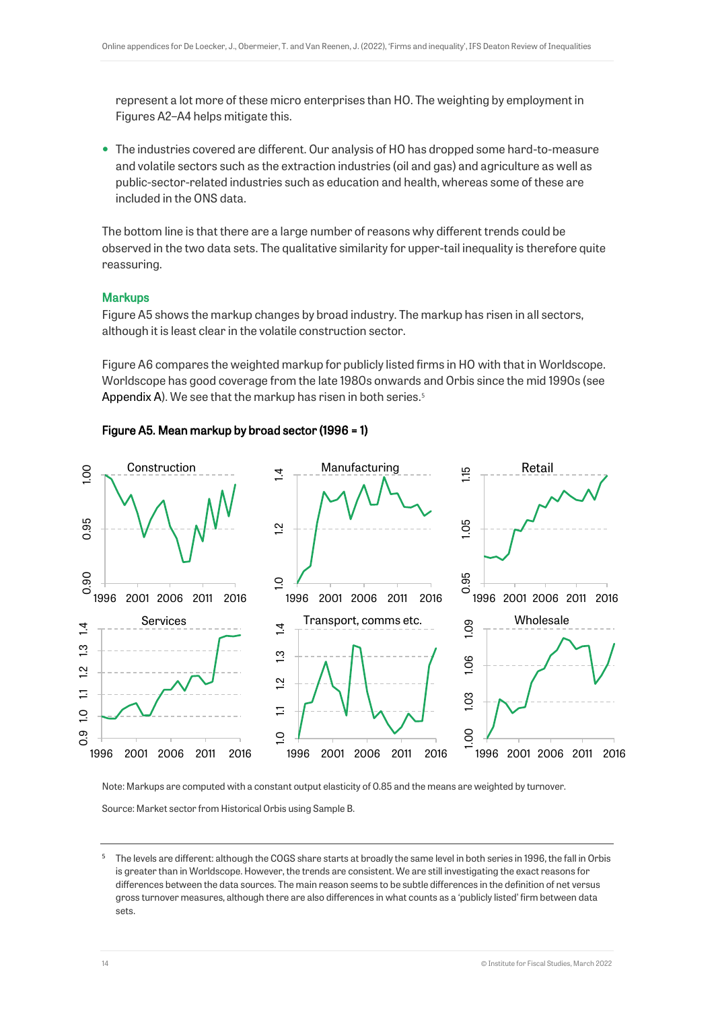represent a lot more of these micro enterprises than HO. The weighting by employment in Figures A2–A4 helps mitigate this.

 The industries covered are different. Our analysis of HO has dropped some hard-to-measure and volatile sectors such as the extraction industries (oil and gas) and agriculture as well as public-sector-related industries such as education and health, whereas some of these are included in the ONS data.

The bottom line is that there are a large number of reasons why different trends could be observed in the two data sets. The qualitative similarity for upper-tail inequality is therefore quite reassuring.

#### **Markups**

Figure A5 shows the markup changes by broad industry. The markup has risen in all sectors, although it is least clear in the volatile construction sector.

Figure A6 compares the weighted markup for publicly listed firms in HO with that in Worldscope. Worldscope has good coverage from the late 1980s onwards and Orbis since the mid 1990s (see [Appendix](#page-0-0) A). We see that the markup has risen in both series.<sup>5</sup>

#### Figure A5. Mean markup by broad sector (1996 = 1)



Note: Markups are computed with a constant output elasticity of 0.85 and the means are weighted by turnover. Source: Market sector from Historical Orbis using Sample B.

<sup>5</sup> The levels are different: although the COGS share starts at broadly the same level in both series in 1996, the fall in Orbis is greater than in Worldscope. However, the trends are consistent. We are still investigating the exact reasons for differences between the data sources. The main reason seems to be subtle differences in the definition of net versus gross turnover measures, although there are also differences in what counts as a 'publicly listed' firm between data sets.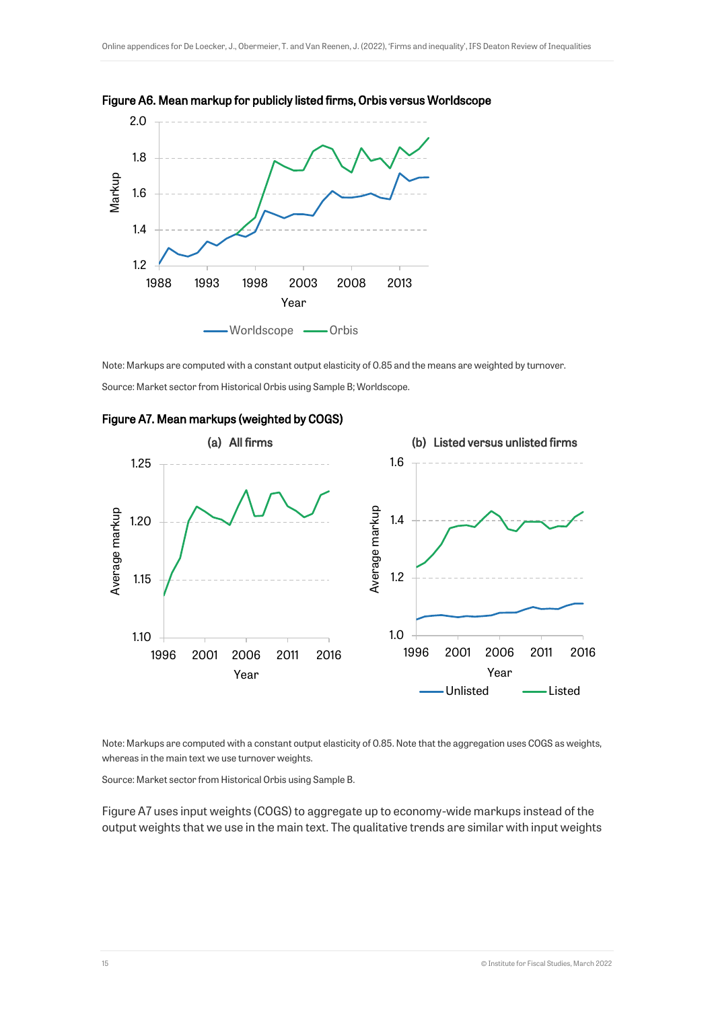



Note: Markups are computed with a constant output elasticity of 0.85 and the means are weighted by turnover. Source: Market sector from Historical Orbis using Sample B; Worldscope.



#### Figure A7. Mean markups (weighted by COGS)

Note: Markups are computed with a constant output elasticity of 0.85. Note that the aggregation uses COGS as weights, whereas in the main text we use turnover weights.

Source: Market sector from Historical Orbis using Sample B.

Figure A7 uses input weights (COGS) to aggregate up to economy-wide markups instead of the output weights that we use in the main text. The qualitative trends are similar with input weights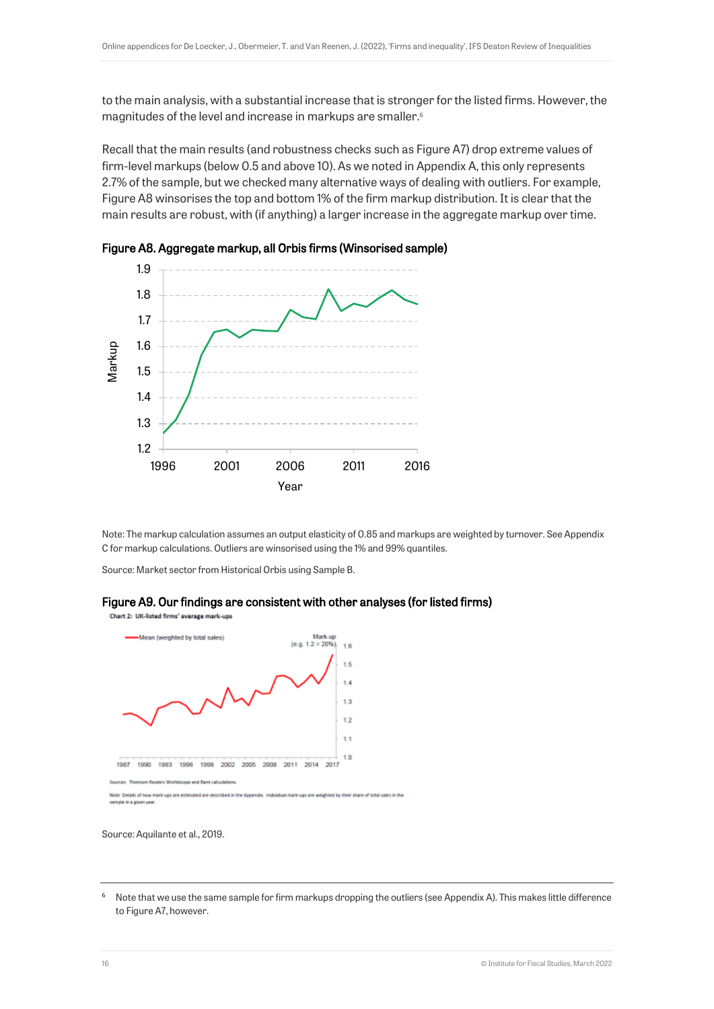to the main analysis, with a substantial increase that is stronger for the listed firms. However, the magnitudes of the level and increase in markups are smaller. 6

Recall that the main results (and robustness checks such as Figure A7) drop extreme values of firm-level markups (below 0.5 and above 10). As we noted in Appendix A, this only represents 2.7% of the sample, but we checked many alternative ways of dealing with outliers. For example, Figure A8 winsorises the top and bottom 1% of the firm markup distribution. It is clear that the main results are robust, with (if anything) a larger increase in the aggregate markup over time.





Note: The markup calculation assumes an output elasticity of 0.85 and markups are weighted by turnover. See Appendix C for markup calculations. Outliers are winsorised using the 1% and 99% quantiles.

Source: Market sector from Historical Orbis using Sample B.



Chart 2: UK-listed firms' average mark-ups Mean (weighted by total sales)



Source: Aquilante et al., 2019.

<sup>&</sup>lt;sup>6</sup> Note that we use the same sample for firm markups dropping the outliers (see Appendix A). This makes little difference to Figure A7, however.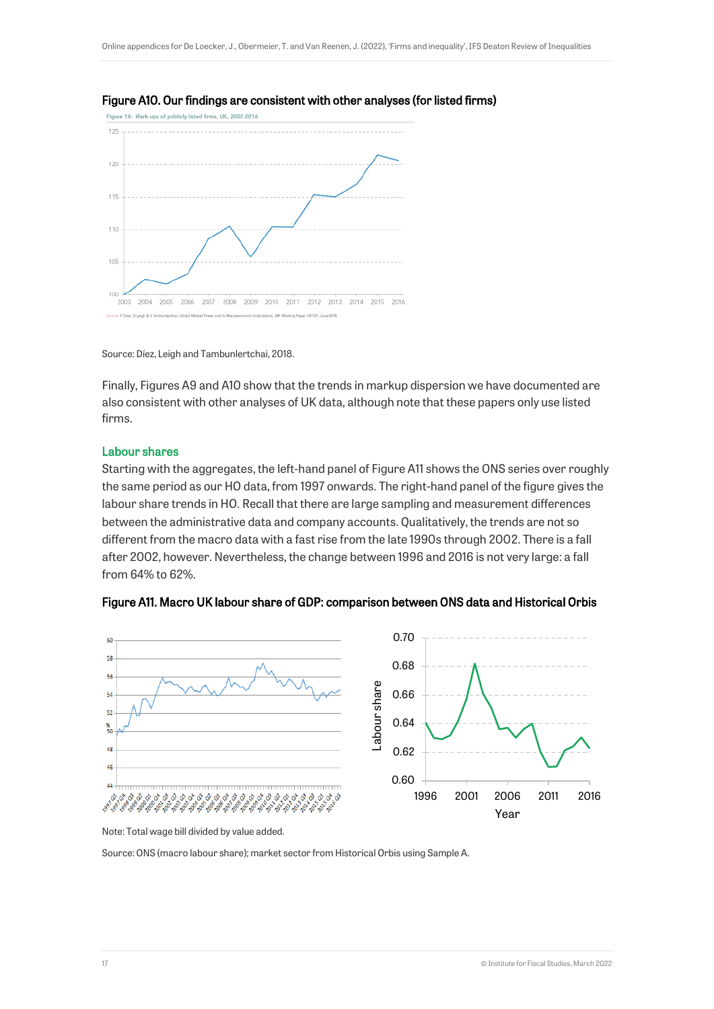



Source: Díez, Leigh and Tambunlertchai, 2018.

Finally, Figures A9 and A10 show that the trends in markup dispersion we have documented are also consistent with other analyses of UK data, although note that these papers only use listed firms.

#### Labour shares

Starting with the aggregates, the left-hand panel of Figure A11 shows the ONS series over roughly the same period as our HO data, from 1997 onwards. The right-hand panel of the figure gives the labour share trends in HO. Recall that there are large sampling and measurement differences between the administrative data and company accounts. Qualitatively, the trends are not so different from the macro data with a fast rise from the late 1990s through 2002. There is a fall after 2002, however. Nevertheless, the change between 1996 and 2016 is not very large: a fall from 64% to 62%.



Figure A11. Macro UK labour share of GDP: comparison between ONS data and Historical Orbis

Note: Total wage bill divided by value added.

Source: ONS (macro labour share); market sector from Historical Orbis using Sample A.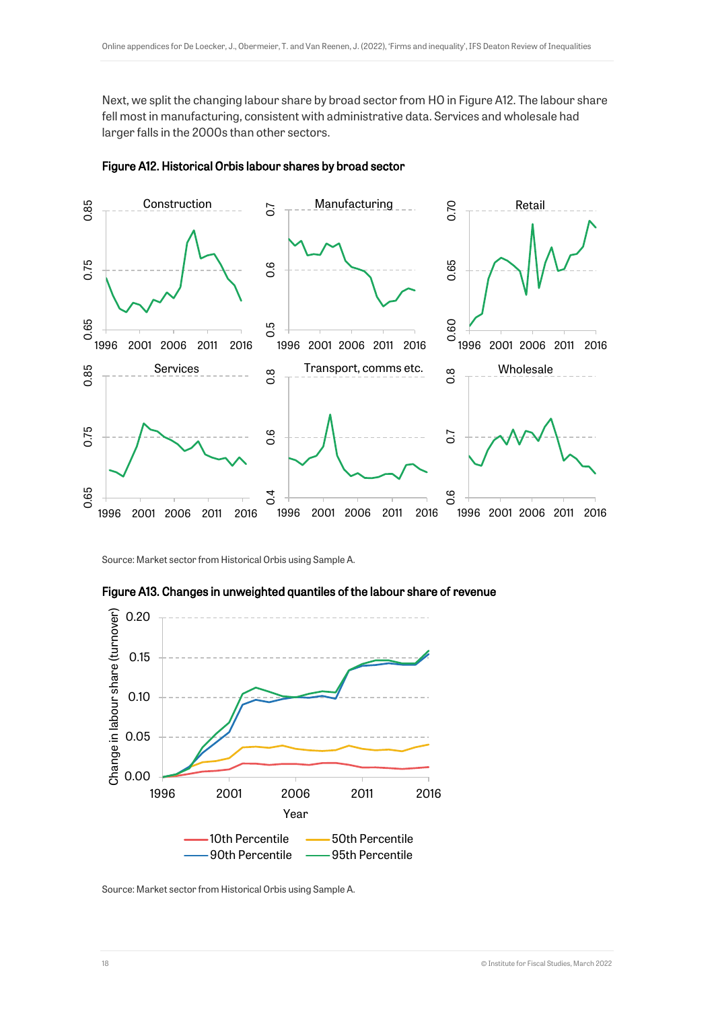Next, we split the changing labour share by broad sector from HO in Figure A12. The labour share fell most in manufacturing, consistent with administrative data. Services and wholesale had larger falls in the 2000s than other sectors.



#### Figure A12. Historical Orbis labour shares by broad sector

Source: Market sector from Historical Orbis using Sample A.





Source: Market sector from Historical Orbis using Sample A.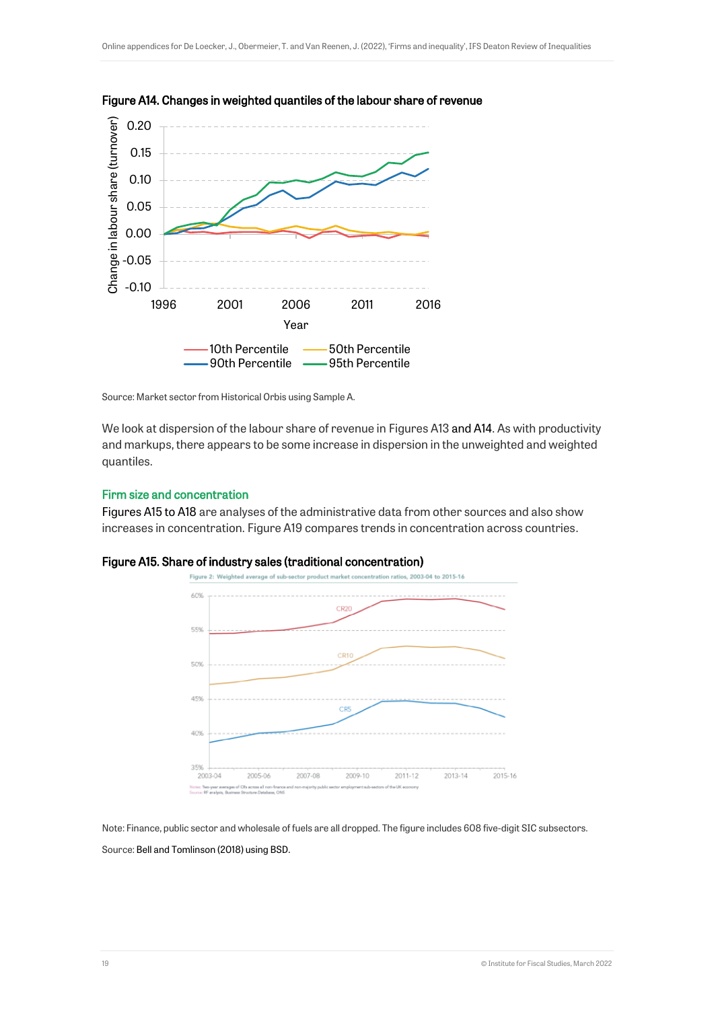



Source: Market sector from Historical Orbis using Sample A.

We look at dispersion of the labour share of revenue in Figures A13 and A14. As with productivity and markups, there appears to be some increase in dispersion in the unweighted and weighted quantiles.

#### Firm size and concentration

[Figures A15 to A18](#page-18-0) are analyses of the administrative data from other sources and also show increases in concentration. Figure A19 compares trends in concentration across countries.



<span id="page-18-0"></span>

Note: Finance, public sector and wholesale of fuels are all dropped. The figure includes 608 five-digit SIC subsectors. Source[: Bell and Tomlinson \(2018\)](#page-27-0) using BSD.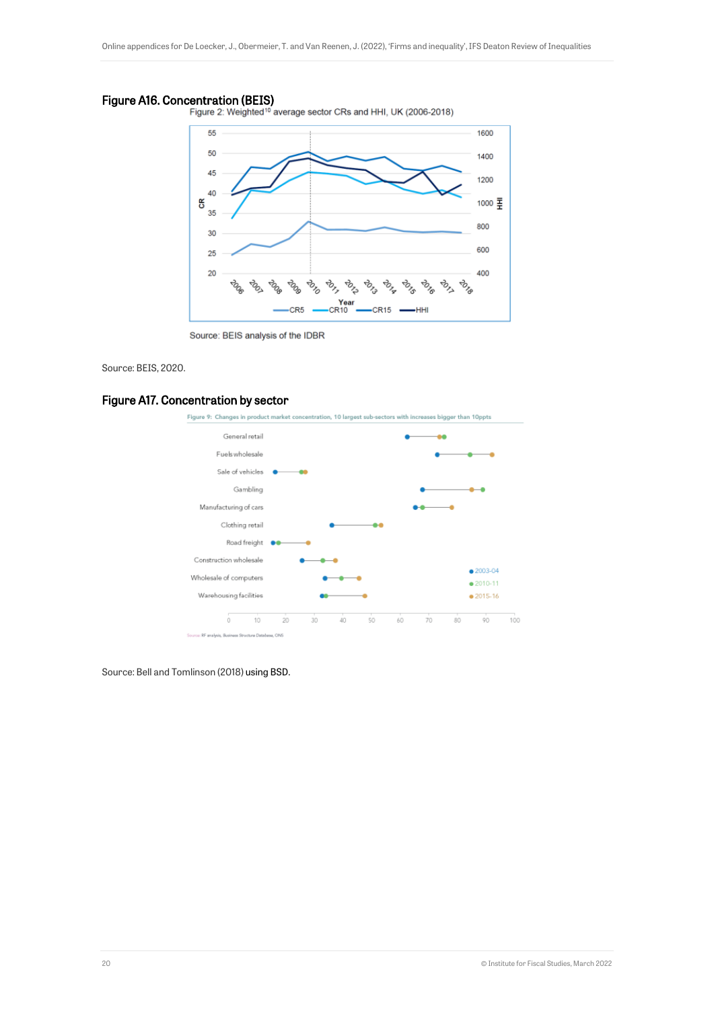Figure A16. Concentration (BEIS)<br>Figure 2: Weighted<sup>10</sup> average sector CRs and HHI, UK (2006-2018)



Source: BEIS analysis of the IDBR

#### Source: BEIS, 2020.

#### Figure A17. Concentration by sector



Source: Bell and Tomlinson (2018) using BSD.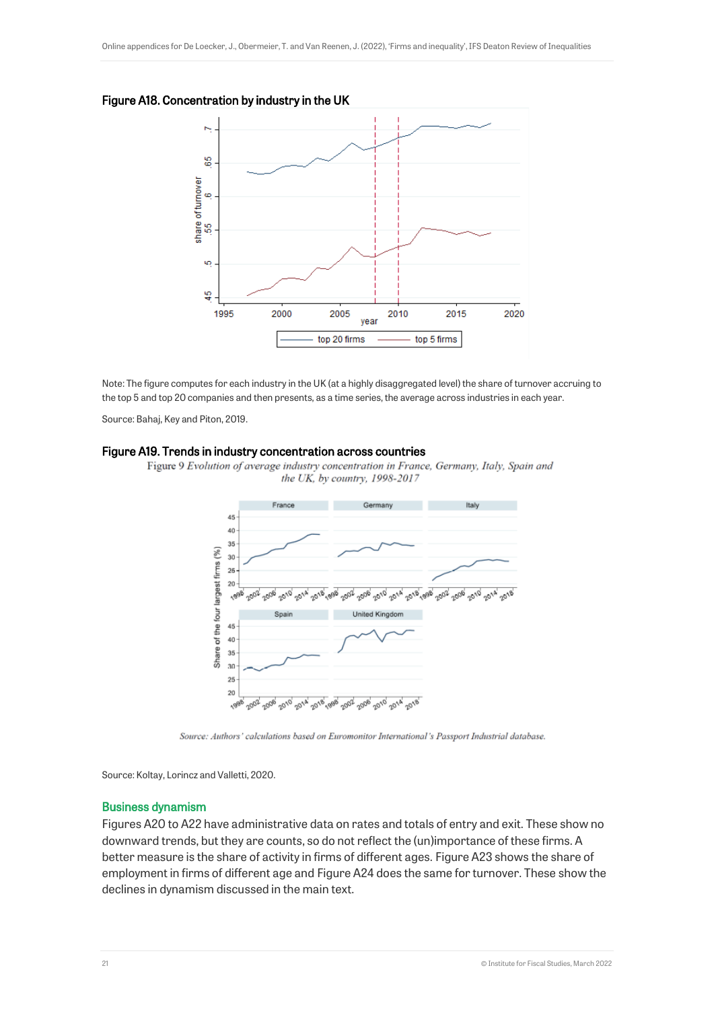



Note: The figure computes for each industry in the UK (at a highly disaggregated level) the share of turnover accruing to the top 5 and top 20 companies and then presents, as a time series, the average across industries in each year.

Source: Bahaj, Key and Piton, 2019.

#### Figure A19. Trends in industry concentration across countries



Figure 9 Evolution of average industry concentration in France, Germany, Italy, Spain and the UK, by country, 1998-2017

Source: Authors' calculations based on Euromonitor International's Passport Industrial database.

Source: Koltay, Lorincz and Valletti, 2020.

#### Business dynamism

Figures A20 to A22 have administrative data on rates and totals of entry and exit. These show no downward trends, but they are counts, so do not reflect the (un)importance of these firms. A better measure is the share of activity in firms of different ages. Figure A23 shows the share of employment in firms of different age and Figure A24 does the same for turnover. These show the declines in dynamism discussed in the main text.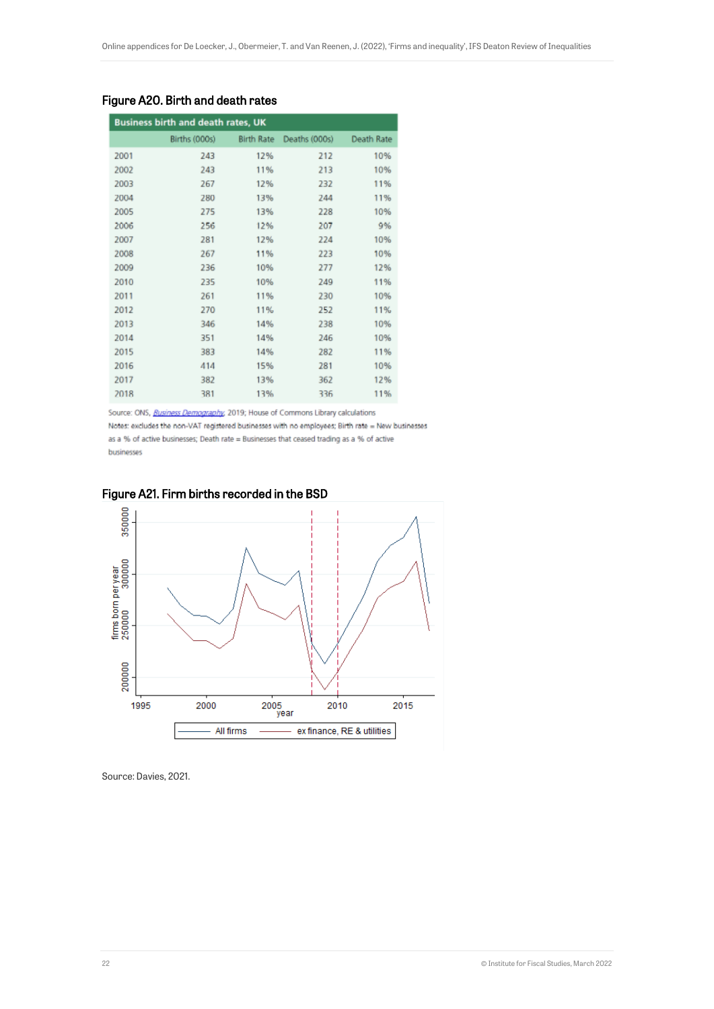| <b>Business birth and death rates, UK</b> |               |                   |               |            |  |
|-------------------------------------------|---------------|-------------------|---------------|------------|--|
|                                           | Births (000s) | <b>Birth Rate</b> | Deaths (000s) | Death Rate |  |
| 2001                                      | 243           | 12%               | 212           | 10%        |  |
| 2002                                      | 243           | 11%               | 213           | 10%        |  |
| 2003                                      | 267           | 12%               | 232           | 11%        |  |
| 2004                                      | 280           | 13%               | 244           | 11%        |  |
| 2005                                      | 275           | 13%               | 228           | 10%        |  |
| 2006                                      | 256           | 12%               | 207           | 9%         |  |
| 2007                                      | 281           | 12%               | 224           | 10%        |  |
| 2008                                      | 267           | 11%               | 223           | 10%        |  |
| 2009                                      | 236           | 10%               | 277           | 12%        |  |
| 2010                                      | 235           | 10%               | 249           | 11%        |  |
| 2011                                      | 261           | 11%               | 230           | 10%        |  |
| 2012                                      | 270           | 11%               | 252           | 11%        |  |
| 2013                                      | 346           | 14%               | 238           | 10%        |  |
| 2014                                      | 351           | 14%               | 246           | 10%        |  |
| 2015                                      | 383           | 14%               | 282           | 11%        |  |
| 2016                                      | 414           | 15%               | 281           | 10%        |  |
| 2017                                      | 382           | 13%               | 362           | 12%        |  |
| 2018                                      | 381           | 13%               | 336           | 11%        |  |

#### Figure A20. Birth and death rates

Source: ONS, Business Demography, 2019; House of Commons Library calculations

Notes: excludes the non-VAT registered businesses with no employees; Birth rate = New businesses as a % of active businesses; Death rate = Businesses that ceased trading as a % of active businesses



#### Figure A21. Firm births recorded in the BSD

Source: Davies, 2021.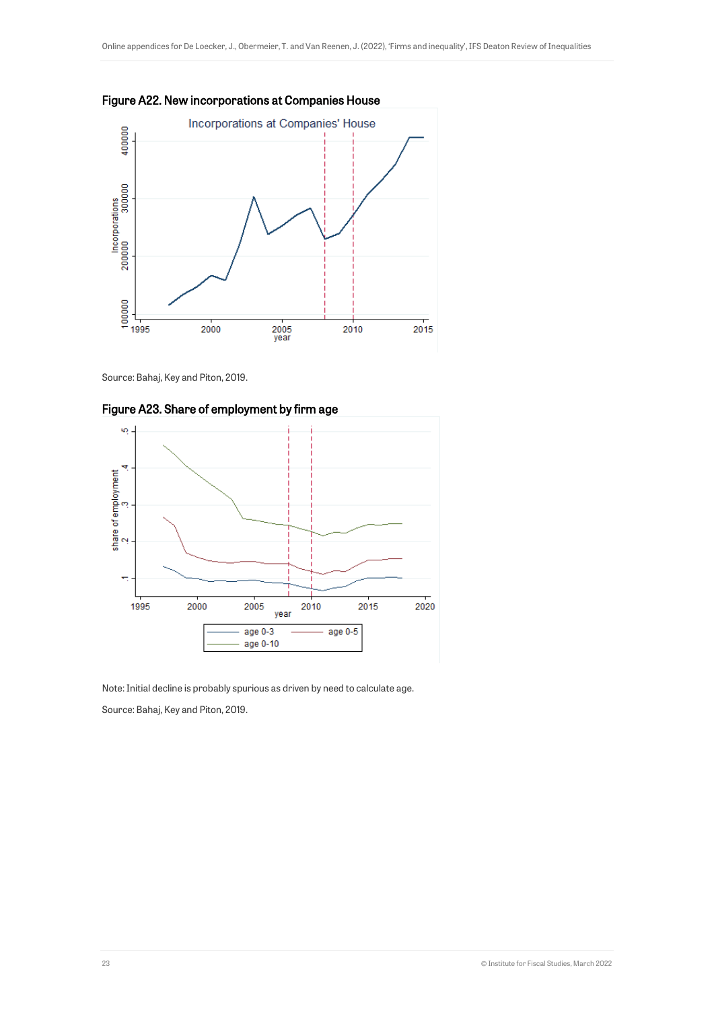



Source: Bahaj, Key and Piton, 2019.





Note: Initial decline is probably spurious as driven by need to calculate age.

Source: Bahaj, Key and Piton, 2019.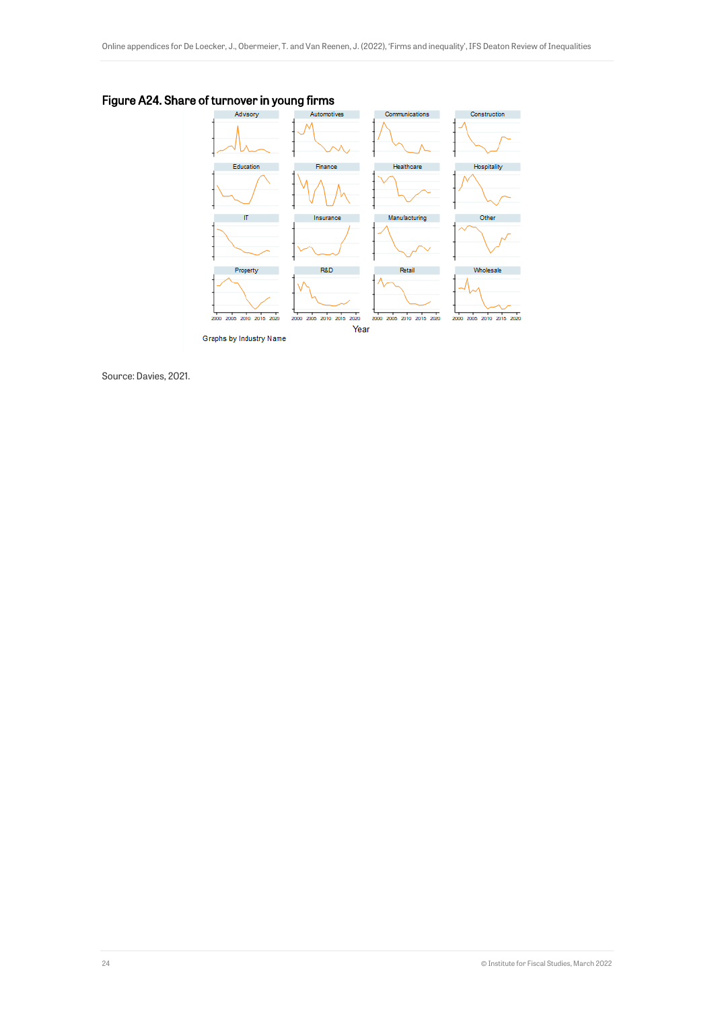Figure A24. Share of turnover in young firms



Source: Davies, 2021.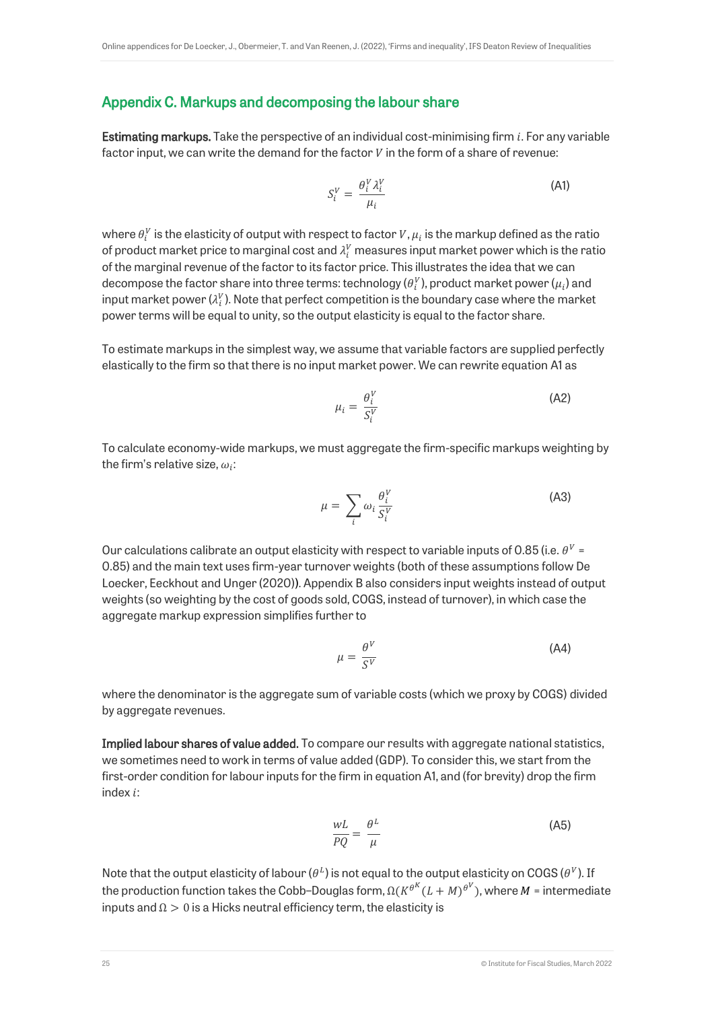### Appendix C. Markups and decomposing the labour share

**Estimating markups.** Take the perspective of an individual cost-minimising firm  $i$ . For any variable factor input, we can write the demand for the factor  $V$  in the form of a share of revenue:

$$
S_i^V = \frac{\theta_i^V \lambda_i^V}{\mu_i} \tag{A1}
$$

where  $\theta_i^V$  is the elasticity of output with respect to factor  $V,\mu_i$  is the markup defined as the ratio of product market price to marginal cost and  $\lambda^V_i$  measures input market power which is the ratio of the marginal revenue of the factor to its factor price. This illustrates the idea that we can decompose the factor share into three terms: technology ( $\theta_i^V$ ), product market power ( $\mu_i$ ) and input market power ( $\lambda^V_i$ ). Note that perfect competition is the boundary case where the market power terms will be equal to unity, so the output elasticity is equal to the factor share.

To estimate markups in the simplest way, we assume that variable factors are supplied perfectly elastically to the firm so that there is no input market power. We can rewrite equation A1 as

$$
\mu_i = \frac{\theta_i^V}{S_i^V} \tag{A2}
$$

To calculate economy-wide markups, we must aggregate the firm-specific markups weighting by the firm's relative size,  $\omega_i$ :

$$
\mu = \sum_{i} \omega_i \frac{\theta_i^V}{S_i^V}
$$
 (A3)

Our calculations calibrate an output elasticity with respect to variable inputs of 0.85 (i.e.  $\theta^V$  = 0.85) and the main text uses firm-year turnover weights (both of these assumptions follow De Loecker, Eeckhout and Unger (2020)). Appendix B also considers input weights instead of output weights (so weighting by the cost of goods sold, COGS, instead of turnover), in which case the aggregate markup expression simplifies further to

$$
\mu = \frac{\theta^V}{S^V} \tag{A4}
$$

where the denominator is the aggregate sum of variable costs (which we proxy by COGS) divided by aggregate revenues.

Implied labour shares of value added. To compare our results with aggregate national statistics, we sometimes need to work in terms of value added (GDP). To consider this, we start from the first-order condition for labour inputs for the firm in equation A1, and (for brevity) drop the firm index  $i$ :

$$
\frac{WL}{PQ} = \frac{\theta^L}{\mu} \tag{A5}
$$

Note that the output elasticity of labour ( $\theta^L$ ) is not equal to the output elasticity on COGS ( $\theta^V$ ). If the production function takes the Cobb–Douglas form,  $\Omega(K^{\theta^K}(L+M)^{\theta^V})$ , where  $M$  = intermediate inputs and  $\Omega > 0$  is a Hicks neutral efficiency term, the elasticity is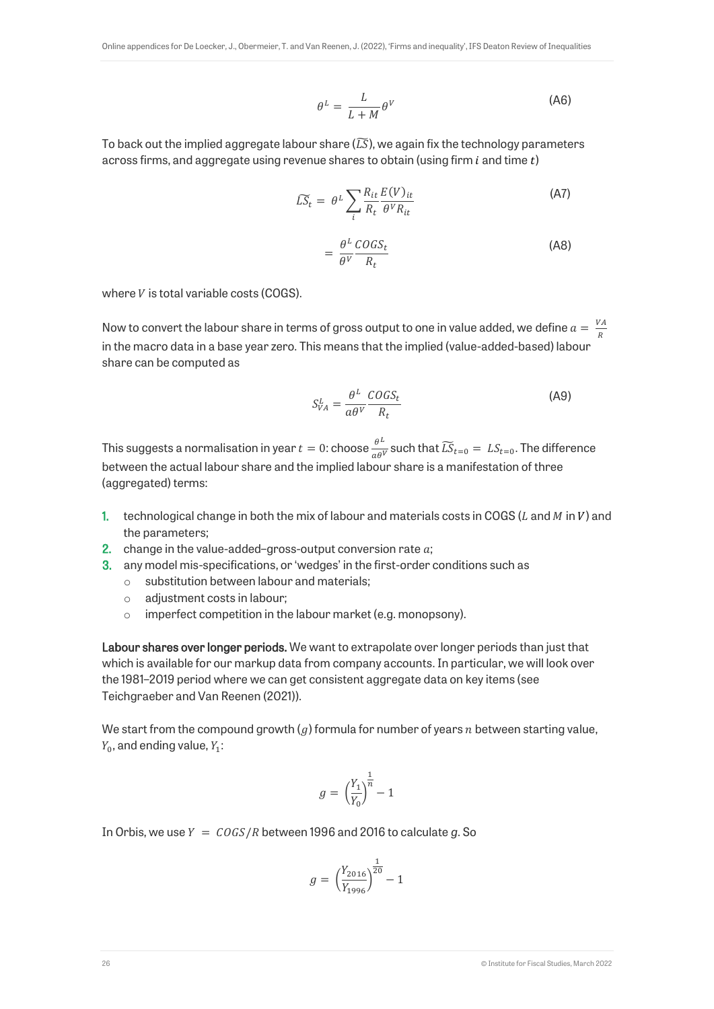$$
\theta^L = \frac{L}{L+M} \theta^V \tag{A6}
$$

To back out the implied aggregate labour share  $(\overline{LS})$ , we again fix the technology parameters across firms, and aggregate using revenue shares to obtain (using firm  $i$  and time  $t$ )

$$
\widetilde{LS}_t = \theta^L \sum_{i} \frac{R_{it}}{R_t} \frac{E(V)_{it}}{\theta^V R_{it}} \tag{A7}
$$

$$
=\frac{\theta^L \cos s_t}{\theta^V \ R_t} \tag{A8}
$$

where  $V$  is total variable costs (COGS).

Now to convert the labour share in terms of gross output to one in value added, we define  $a = \frac{VA}{D}$  $\boldsymbol{R}$ in the macro data in a base year zero. This means that the implied (value-added-based) labour share can be computed as

$$
S_{VA}^L = \frac{\theta^L}{a\theta^V} \frac{COGS_t}{R_t}
$$
 (A9)

This suggests a normalisation in year  $t=0$ : choose  $\frac{\theta^L}{\sigma \theta}$  $\frac{\partial^2}{\partial a \partial v}$  such that  $\widetilde{LS}_{t=0} = LS_{t=0}$ . The difference between the actual labour share and the implied labour share is a manifestation of three (aggregated) terms:

- 1. technological change in both the mix of labour and materials costs in COGS ( $L$  and  $M$  in  $V$ ) and the parameters;
- 2. change in the value-added-gross-output conversion rate  $a$ ;
- 3. any model mis-specifications, or 'wedges' in the first-order conditions such as
	- o substitution between labour and materials;
	- o adjustment costs in labour;
	- o imperfect competition in the labour market (e.g. monopsony).

Labour shares over longer periods. We want to extrapolate over longer periods than just that which is available for our markup data from company accounts. In particular, we will look over the 1981–2019 period where we can get consistent aggregate data on key items (see Teichgraeber and Van Reenen (2021)).

We start from the compound growth  $(a)$  formula for number of years  $n$  between starting value.  $Y_0$ , and ending value,  $Y_1$ :

$$
g = \left(\frac{Y_1}{Y_0}\right)^{\frac{1}{n}} - 1
$$

In Orbis, we use  $Y = \frac{COGS}{R}$  between 1996 and 2016 to calculate g. So

$$
g = \left(\frac{Y_{2016}}{Y_{1996}}\right)^{\frac{1}{20}} - 1
$$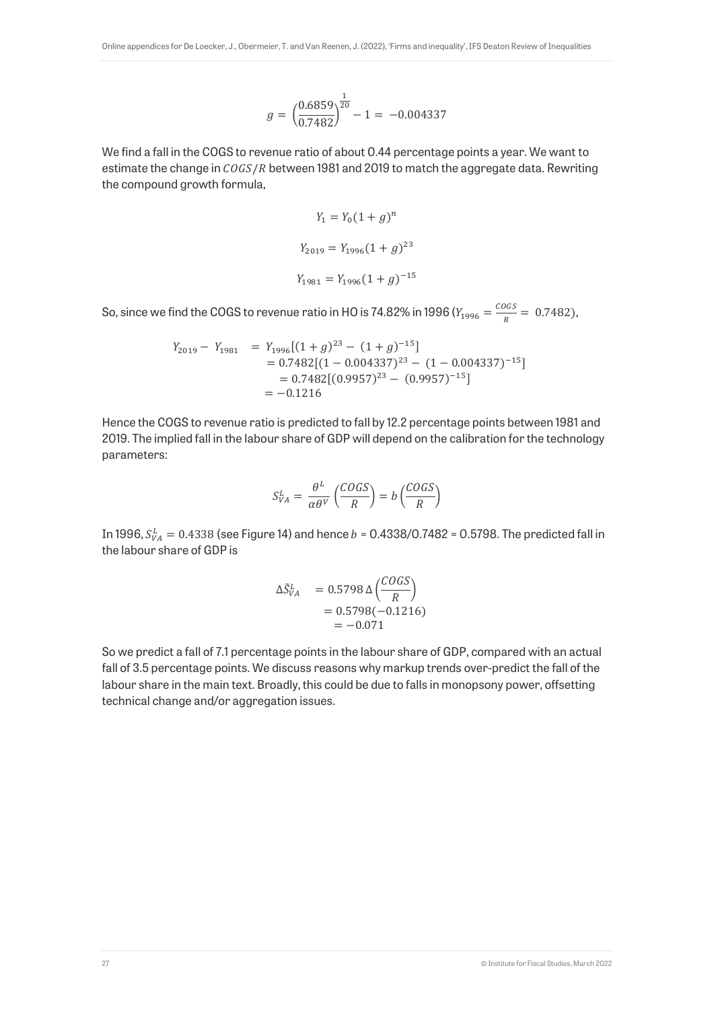$$
g = \left(\frac{0.6859}{0.7482}\right)^{\frac{1}{20}} - 1 = -0.004337
$$

We find a fall in the COGS to revenue ratio of about 0.44 percentage points a year. We want to estimate the change in  $COGS/R$  between 1981 and 2019 to match the aggregate data. Rewriting the compound growth formula,

$$
Y_1 = Y_0(1+g)^n
$$
  
\n
$$
Y_{2019} = Y_{1996}(1+g)^{23}
$$
  
\n
$$
Y_{1981} = Y_{1996}(1+g)^{-15}
$$

So, since we find the COGS to revenue ratio in HO is 74.82% in 1996 ( $Y_{1996} = \frac{C O G S}{R}$  $\frac{563}{R}$  = 0.7482),

$$
Y_{2019} - Y_{1981} = Y_{1996}[(1+g)^{23} - (1+g)^{-15}]
$$
  
= 0.7482[(1 – 0.004337)<sup>23</sup> – (1 – 0.004337)<sup>-15</sup>]  
= 0.7482[(0.9957)<sup>23</sup> – (0.9957)<sup>-15</sup>]  
= -0.1216

Hence the COGS to revenue ratio is predicted to fall by 12.2 percentage points between 1981 and 2019. The implied fall in the labour share of GDP will depend on the calibration for the technology parameters:

$$
S_{VA}^L = \frac{\theta^L}{\alpha \theta^V} \left( \frac{COGS}{R} \right) = b \left( \frac{COGS}{R} \right)
$$

In 1996,  $S_{VA}^L = 0.4338$  (see Figure 14) and hence  $b = 0.4338/0.7482 = 0.5798$ . The predicted fall in the labour share of GDP is

$$
\Delta \tilde{S}_{VA}^{L} = 0.5798 \,\Delta \left( \frac{COGS}{R} \right) \n= 0.5798(-0.1216) \n= -0.071
$$

So we predict a fall of 7.1 percentage points in the labour share of GDP, compared with an actual fall of 3.5 percentage points. We discuss reasons why markup trends over-predict the fall of the labour share in the main text. Broadly, this could be due to falls in monopsony power, offsetting technical change and/or aggregation issues.